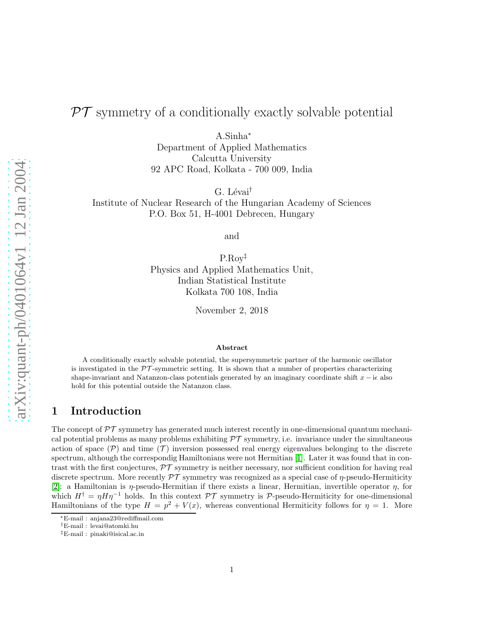# $PT$  symmetry of a conditionally exactly solvable potential

A.Sinha<sup>∗</sup>

Department of Applied Mathematics Calcutta University 92 APC Road, Kolkata - 700 009, India

G. Lévai<sup>†</sup>

Institute of Nuclear Research of the Hungarian Academy of Sciences P.O. Box 51, H-4001 Debrecen, Hungary

and

P.Roy‡ Physics and Applied Mathematics Unit, Indian Statistical Institute Kolkata 700 108, India

November 2, 2018

#### Abstract

A conditionally exactly solvable potential, the supersymmetric partner of the harmonic oscillator is investigated in the  $\mathcal{PT}$ -symmetric setting. It is shown that a number of properties characterizing shape-invariant and Natanzon-class potentials generated by an imaginary coordinate shift  $x - i\epsilon$  also hold for this potential outside the Natanzon class.

# 1 Introduction

The concept of  $\mathcal{PT}$  symmetry has generated much interest recently in one-dimensional quantum mechanical potential problems as many problems exhibiting  $\mathcal{PT}$  symmetry, i.e. invariance under the simultaneous action of space  $(\mathcal{P})$  and time  $(\mathcal{T})$  inversion possessed real energy eigenvalues belonging to the discrete spectrum, although the correspondig Hamiltonians were not Hermitian [\[1\]](#page-7-0). Later it was found that in contrast with the first conjectures,  $\mathcal{PT}$  symmetry is neither necessary, nor sufficient condition for having real discrete spectrum. More recently  $\mathcal{PT}$  symmetry was recognized as a special case of  $\eta$ -pseudo-Hermiticity [\[2\]](#page-7-1): a Hamiltonian is  $\eta$ -pseudo-Hermitian if there exists a linear, Hermitian, invertible operator  $\eta$ , for which  $H^{\dagger} = \eta H \eta^{-1}$  holds. In this context  $\mathcal{PT}$  symmetry is  $\mathcal{P}$ -pseudo-Hermiticity for one-dimensional Hamiltonians of the type  $H = p^2 + V(x)$ , whereas conventional Hermiticity follows for  $\eta = 1$ . More

<sup>∗</sup>E-mail : anjana23@rediffmail.com

<sup>†</sup>E-mail : levai@atomki.hu

<sup>‡</sup>E-mail : pinaki@isical.ac.in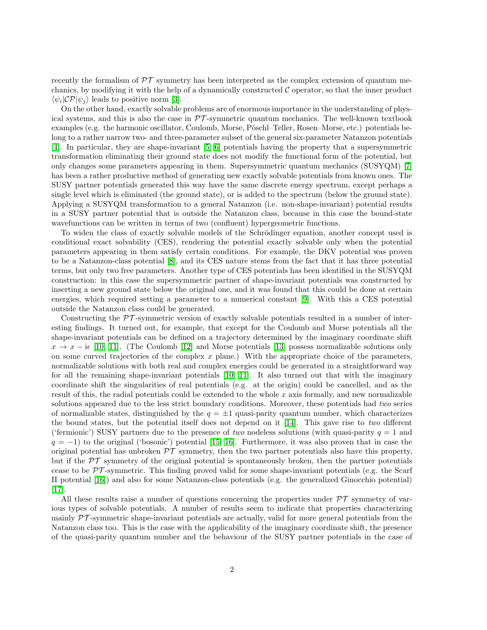recently the formalism of  $\mathcal{PT}$  symmetry has been interpreted as the complex extension of quantum mechanics, by modifying it with the help of a dynamically constructed  $\mathcal C$  operator, so that the inner product  $\langle \psi_i | \mathcal{CP} | \psi_j \rangle$  leads to positive norm [\[3\]](#page-7-2).

On the other hand, exactly solvable problems are of enormous importance in the understanding of physical systems, and this is also the case in  $\mathcal{PT}$ -symmetric quantum mechanics. The well-known textbook examples (e.g. the harmonic oscillator, Coulomb, Morse, Pöschl–Teller, Rosen–Morse, etc.) potentials belong to a rather narrow two- and three-parameter subset of the general six-parameter Natanzon potentials [\[4\]](#page-7-3). In particular, they are shape-invariant [\[5,](#page-7-4) [6\]](#page-7-5) potentials having the property that a supersymmetric transformation eliminating their ground state does not modify the functional form of the potential, but only changes some parameters appearing in them. Supersymmetric quantum mechanics (SUSYQM) [\[7\]](#page-7-6) has been a rather productive method of generating new exactly solvable potentials from known ones. The SUSY partner potentials generated this way have the same discrete energy spectrum, except perhaps a single level which is eliminated (the ground state), or is added to the spectrum (below the ground state). Applying a SUSYQM transformation to a general Natanzon (i.e. non-shape-invariant) potential results in a SUSY partner potential that is outside the Natanzon class, because in this case the bound-state wavefunctions can be written in terms of two (confluent) hypergeometric functions.

To widen the class of exactly solvable models of the Schrödinger equation, another concept used is conditional exact solvability (CES), rendering the potential exactly solvable only when the potential parameters appearing in them satisfy certain conditions. For example, the DKV potential was proven to be a Natanzon-class potential [\[8\]](#page-7-7), and its CES nature stems from the fact that it has three potential terms, but only two free parameters. Another type of CES potentials has been identified in the SUSYQM construction: in this case the supersymmetric partner of shape-invariant potentials was constructed by inserting a new ground state below the original one, and it was found that this could be done at certain energies, which required setting a parameter to a numerical constant [\[9\]](#page-7-8). With this a CES potential outside the Natanzon class could be generated.

Constructing the  $\mathcal{PT}$ -symmetric version of exactly solvable potentials resulted in a number of interesting findings. It turned out, for example, that except for the Coulomb and Morse potentials all the shape-invariant potentials can be defined on a trajectory determined by the imaginary coordinate shift  $x \to x - i\epsilon$  [\[10,](#page-7-9) [11\]](#page-7-10). (The Coulomb [\[12\]](#page-7-11) and Morse potentials [\[13\]](#page-7-12) possess normalizable solutions only on some curved trajectories of the complex  $x$  plane.) With the appropriate choice of the parameters, normalizable solutions with both real and complex energies could be generated in a straightforward way for all the remaining shape-invariant potentials [\[10,](#page-7-9) [11\]](#page-7-10). It also turned out that with the imaginary coordinate shift the singularities of real potentials (e.g. at the origin) could be cancelled, and as the result of this, the radial potentials could be extended to the whole  $x$  axis formally, and new normalizable solutions appeared due to the less strict boundary conditions. Moreover, these potentials had two series of normalizable states, distinguished by the  $q = \pm 1$  quasi-parity quantum number, which characterizes the bound states, but the potential itself does not depend on it [\[14\]](#page-7-13). This gave rise to two different ('fermionic') SUSY partners due to the presence of two nodeless solutions (with quasi-parity  $q = 1$  and  $q = -1$ ) to the original ('bosonic') potential [\[15,](#page-7-14) [16\]](#page-7-15). Furthermore, it was also proven that in case the original potential has unbroken  $\mathcal{PT}$  symmetry, then the two partner potentials also have this property, but if the  $\mathcal{PT}$  symmetry of the original potential is spontaneously broken, then the partner potentials cease to be  $\mathcal{PT}$ -symmetric. This finding proved valid for some shape-invariant potentials (e.g. the Scarf II potential [\[16\]](#page-7-15)) and also for some Natanzon-class potentials (e.g. the generalized Ginocchio potential) [\[17\]](#page-7-16).

All these results raise a number of questions concerning the properties under  $\mathcal{PT}$  symmetry of various types of solvable potentials. A number of results seem to indicate that properties characterizing mainly  $\mathcal{PT}$ -symmetric shape-invariant potentials are actually, valid for more general potentials from the Natanzon class too. This is the case with the applicability of the imaginary coordinate shift, the presence of the quasi-parity quantum number and the behaviour of the SUSY partner potentials in the case of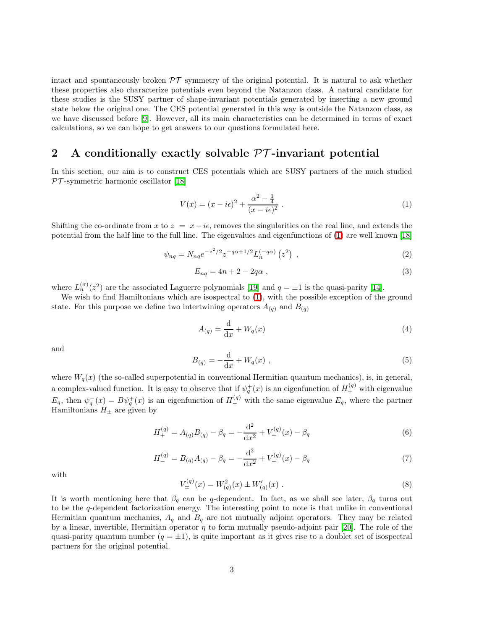intact and spontaneously broken  $\mathcal{PT}$  symmetry of the original potential. It is natural to ask whether these properties also characterize potentials even beyond the Natanzon class. A natural candidate for these studies is the SUSY partner of shape-invariant potentials generated by inserting a new ground state below the original one. The CES potential generated in this way is outside the Natanzon class, as we have discussed before [\[9\]](#page-7-8). However, all its main characteristics can be determined in terms of exact calculations, so we can hope to get answers to our questions formulated here.

# 2 A conditionally exactly solvable  $\mathcal{PT}$ -invariant potential

In this section, our aim is to construct CES potentials which are SUSY partners of the much studied  $PT$ -symmetric harmonic oscillator [\[18\]](#page-7-17)

<span id="page-2-0"></span>
$$
V(x) = (x - i\epsilon)^2 + \frac{\alpha^2 - \frac{1}{4}}{(x - i\epsilon)^2} \,. \tag{1}
$$

Shifting the co-ordinate from x to  $z = x - i\epsilon$ , removes the singularities on the real line, and extends the potential from the half line to the full line. The eigenvalues and eigenfunctions of [\(1\)](#page-2-0) are well known [\[18\]](#page-7-17)

$$
\psi_{nq} = N_{nq} e^{-z^2/2} z^{-q\alpha + 1/2} L_n^{(-q\alpha)} (z^2) , \qquad (2)
$$

$$
E_{nq} = 4n + 2 - 2q\alpha \t{3}
$$

where  $L_n^{(\sigma)}(z^2)$  are the associated Laguerre polynomials [\[19\]](#page-7-18) and  $q = \pm 1$  is the quasi-parity [\[14\]](#page-7-13).

We wish to find Hamiltonians which are isospectral to  $(1)$ , with the possible exception of the ground state. For this purpose we define two intertwining operators  $A_{(q)}$  and  $B_{(q)}$ 

$$
A_{(q)} = \frac{\mathrm{d}}{\mathrm{d}x} + W_q(x) \tag{4}
$$

and

$$
B_{(q)} = -\frac{d}{dx} + W_q(x) \t{,} \t(5)
$$

where  $W_q(x)$  (the so-called superpotential in conventional Hermitian quantum mechanics), is, in general, a complex-valued function. It is easy to observe that if  $\psi_q^+(x)$  is an eigenfunction of  $H_+^{(q)}$  with eigenvalue  $E_q$ , then  $\psi_q^-(x) = B\psi_q^+(x)$  is an eigenfunction of  $H^{(q)}_-$  with the same eigenvalue  $E_q$ , where the partner Hamiltonians  $H_{\pm}$  are given by

$$
H_{+}^{(q)} = A_{(q)}B_{(q)} - \beta_q = -\frac{\mathrm{d}^2}{\mathrm{d}x^2} + V_{+}^{(q)}(x) - \beta_q \tag{6}
$$

$$
H_{-}^{(q)} = B_{(q)}A_{(q)} - \beta_q = -\frac{\mathrm{d}^2}{\mathrm{d}x^2} + V_{-}^{(q)}(x) - \beta_q \tag{7}
$$

with

$$
V_{\pm}^{(q)}(x) = W_{(q)}^2(x) \pm W_{(q)}'(x) . \tag{8}
$$

It is worth mentioning here that  $\beta_q$  can be q-dependent. In fact, as we shall see later,  $\beta_q$  turns out to be the q-dependent factorization energy. The interesting point to note is that unlike in conventional Hermitian quantum mechanics,  $A_q$  and  $B_q$  are not mutually adjoint operators. They may be related by a linear, invertible, Hermitian operator  $\eta$  to form mutually pseudo-adjoint pair [\[20\]](#page-7-19). The role of the quasi-parity quantum number  $(q = \pm 1)$ , is quite important as it gives rise to a doublet set of isospectral partners for the original potential.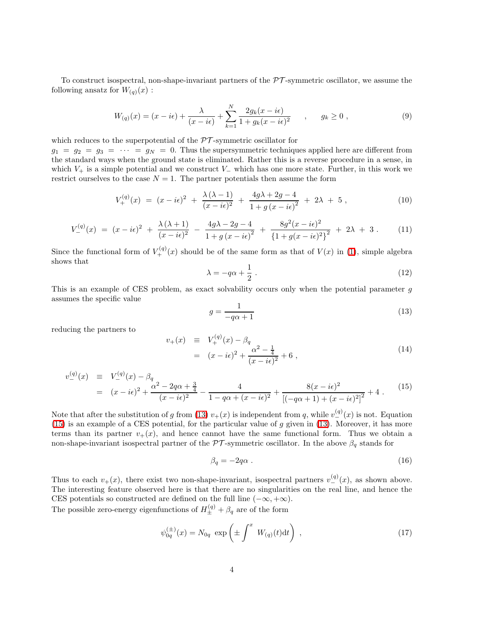To construct isospectral, non-shape-invariant partners of the  $\mathcal{PT}$ -symmetric oscillator, we assume the following ansatz for  $W_{(q)}(x)$ :

$$
W_{(q)}(x) = (x - i\epsilon) + \frac{\lambda}{(x - i\epsilon)} + \sum_{k=1}^{N} \frac{2g_k(x - i\epsilon)}{1 + g_k(x - i\epsilon)^2} , \qquad g_k \ge 0 ,
$$
 (9)

which reduces to the superpotential of the  $\mathcal{PT}$ -symmetric oscillator for

 $g_1 = g_2 = g_3 = \cdots = g_N = 0$ . Thus the supersymmetric techniques applied here are different from the standard ways when the ground state is eliminated. Rather this is a reverse procedure in a sense, in which  $V_+$  is a simple potential and we construct  $V_-\,$  which has one more state. Further, in this work we restrict ourselves to the case  $N = 1$ . The partner potentials then assume the form

$$
V_{+}^{(q)}(x) = (x - i\epsilon)^{2} + \frac{\lambda(\lambda - 1)}{(x - i\epsilon)^{2}} + \frac{4g\lambda + 2g - 4}{1 + g(x - i\epsilon)^{2}} + 2\lambda + 5,
$$
\n(10)

$$
V_{-}^{(q)}(x) = (x - i\epsilon)^2 + \frac{\lambda(\lambda + 1)}{(x - i\epsilon)^2} - \frac{4g\lambda - 2g - 4}{1 + g(x - i\epsilon)^2} + \frac{8g^2(x - i\epsilon)^2}{\{1 + g(x - i\epsilon)^2\}^2} + 2\lambda + 3. \tag{11}
$$

Since the functional form of  $V_+^{(q)}(x)$  should be of the same form as that of  $V(x)$  in [\(1\)](#page-2-0), simple algebra shows that

$$
\lambda = -q\alpha + \frac{1}{2} \ . \tag{12}
$$

This is an example of CES problem, as exact solvability occurs only when the potential parameter g assumes the specific value

$$
g = \frac{1}{-q\alpha + 1} \tag{13}
$$

reducing the partners to

<span id="page-3-0"></span>
$$
v_{+}(x) \equiv V_{+}^{(q)}(x) - \beta_{q}
$$
  
=  $(x - i\epsilon)^{2} + \frac{\alpha^{2} - \frac{1}{4}}{(x - i\epsilon)^{2}} + 6$ , (14)

<span id="page-3-1"></span>
$$
v_{-}^{(q)}(x) \equiv V_{-}^{(q)}(x) - \beta_{q}
$$
  
=  $(x - i\epsilon)^{2} + \frac{\alpha^{2} - 2q\alpha + \frac{3}{4}}{(x - i\epsilon)^{2}} - \frac{4}{1 - q\alpha + (x - i\epsilon)^{2}} + \frac{8(x - i\epsilon)^{2}}{[(-q\alpha + 1) + (x - i\epsilon)^{2}]^{2}} + 4.$  (15)

Note that after the substitution of g from [\(13\)](#page-3-0)  $v_{+}(x)$  is independent from q, while  $v_{-}^{(q)}(x)$  is not. Equation [\(15\)](#page-3-1) is an example of a CES potential, for the particular value of  $g$  given in [\(13\)](#page-3-0). Moreover, it has more terms than its partner  $v_{+}(x)$ , and hence cannot have the same functional form. Thus we obtain a non-shape-invariant isospectral partner of the  $\mathcal{PT}$ -symmetric oscillator. In the above  $\beta_q$  stands for

$$
\beta_q = -2q\alpha \tag{16}
$$

Thus to each  $v_{+}(x)$ , there exist two non-shape-invariant, isospectral partners  $v_{-}^{(q)}(x)$ , as shown above. The interesting feature observed here is that there are no singularities on the real line, and hence the CES potentials so constructed are defined on the full line  $(-\infty, +\infty)$ .

The possible zero-energy eigenfunctions of  $H_{\pm}^{(q)} + \beta_q$  are of the form

$$
\psi_{0q}^{(\pm)}(x) = N_{0q} \exp\left(\pm \int^x W_{(q)}(t)dt\right) , \qquad (17)
$$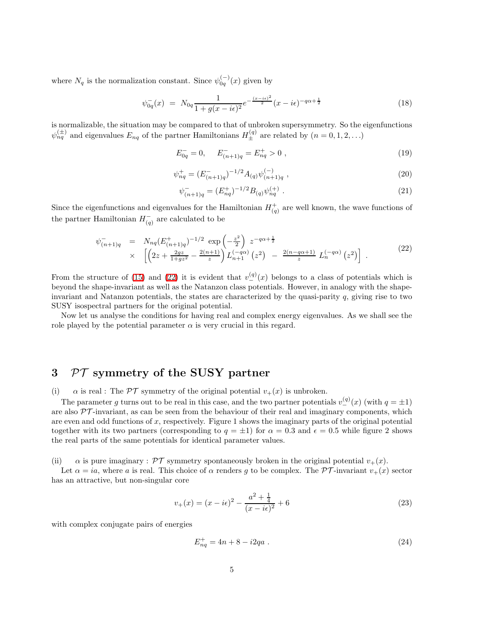where  $N_q$  is the normalization constant. Since  $\psi_{0q}^{(-)}(x)$  given by

$$
\psi_{0q}^{-}(x) = N_{0q} \frac{1}{1 + g(x - i\epsilon)^2} e^{-\frac{(x - i\epsilon)^2}{2}} (x - i\epsilon)^{-q\alpha + \frac{1}{2}}
$$
\n(18)

is normalizable, the situation may be compared to that of unbroken supersymmetry. So the eigenfunctions  $\psi_{nq}^{(\pm)}$  and eigenvalues  $E_{nq}$  of the partner Hamiltonians  $H_{\pm}^{(q)}$  are related by  $(n = 0, 1, 2, ...)$ 

$$
E_{0q}^{-} = 0, \qquad E_{(n+1)q}^{-} = E_{nq}^{+} > 0 , \qquad (19)
$$

$$
\psi_{nq}^{+} = (E_{(n+1)q}^{-})^{-1/2} A_{(q)} \psi_{(n+1)q}^{(-)}, \qquad (20)
$$

$$
\psi_{(n+1)q}^- = (E_{nq}^+)^{-1/2} B_{(q)} \psi_{nq}^{(+)} \tag{21}
$$

<span id="page-4-0"></span>Since the eigenfunctions and eigenvalues for the Hamiltonian  $H_{(q)}^{+}$  are well known, the wave functions of the partner Hamiltonian  $H_{(q)}^-$  are calculated to be

$$
\psi_{(n+1)q}^{-} = N_{nq} (E_{(n+1)q}^{+})^{-1/2} \exp\left(-\frac{z^{2}}{2}\right) z^{-q\alpha + \frac{1}{2}} \times \left[ \left(2z + \frac{2gz}{1+gz^{2}} - \frac{2(n+1)}{z}\right) L_{n+1}^{(-q\alpha)} \left(z^{2}\right) - \frac{2(n-q\alpha+1)}{z} L_{n}^{(-q\alpha)} \left(z^{2}\right) \right].
$$
\n(22)

From the structure of [\(15\)](#page-3-1) and [\(22\)](#page-4-0) it is evident that  $v_{-}^{(q)}(x)$  belongs to a class of potentials which is beyond the shape-invariant as well as the Natanzon class potentials. However, in analogy with the shapeinvariant and Natanzon potentials, the states are characterized by the quasi-parity  $q$ , giving rise to two SUSY isospectral partners for the original potential.

Now let us analyse the conditions for having real and complex energy eigenvalues. As we shall see the role played by the potential parameter  $\alpha$  is very crucial in this regard.

# 3 PT symmetry of the SUSY partner

(i)  $\alpha$  is real : The PT symmetry of the original potential  $v_+(x)$  is unbroken.

The parameter g turns out to be real in this case, and the two partner potentials  $v_+^{(q)}(x)$  (with  $q = \pm 1$ ) are also  $\mathcal{PT}$ -invariant, as can be seen from the behaviour of their real and imaginary components, which are even and odd functions of x, respectively. Figure 1 shows the imaginary parts of the original potential together with its two partners (corresponding to  $q = \pm 1$ ) for  $\alpha = 0.3$  and  $\epsilon = 0.5$  while figure 2 shows the real parts of the same potentials for identical parameter values.

(ii)  $\alpha$  is pure imaginary :  $\mathcal{PT}$  symmetry spontaneously broken in the original potential  $v_+(x)$ .

Let  $\alpha = ia$ , where a is real. This choice of  $\alpha$  renders g to be complex. The PT-invariant  $v_{+}(x)$  sector has an attractive, but non-singular core

$$
v_{+}(x) = (x - i\epsilon)^{2} - \frac{a^{2} + \frac{1}{4}}{(x - i\epsilon)^{2}} + 6
$$
\n(23)

with complex conjugate pairs of energies

$$
E_{nq}^{+} = 4n + 8 - i2qa . \qquad (24)
$$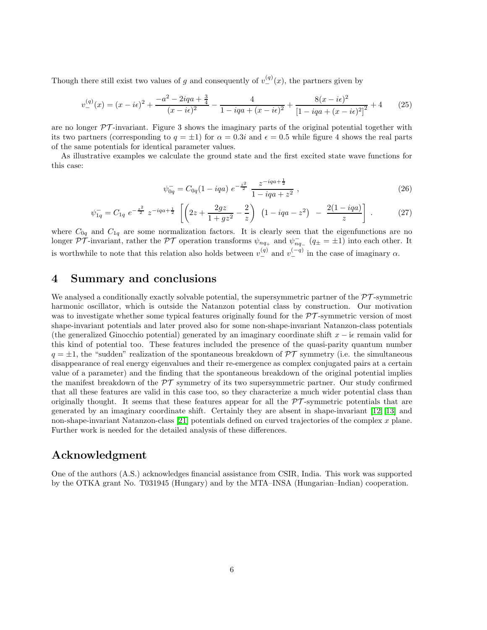Though there still exist two values of g and consequently of  $v_{-}^{(q)}(x)$ , the partners given by

$$
v_{-}^{(q)}(x) = (x - i\epsilon)^{2} + \frac{-a^{2} - 2iq^{2} + \frac{3}{4}}{(x - i\epsilon)^{2}} - \frac{4}{1 - iq^{2} + (x - i\epsilon)^{2}} + \frac{8(x - i\epsilon)^{2}}{[1 - iq^{2} + (x - i\epsilon)^{2}]^{2}} + 4
$$
(25)

are no longer  $\mathcal{PT}$ -invariant. Figure 3 shows the imaginary parts of the original potential together with its two partners (corresponding to  $q = \pm 1$ ) for  $\alpha = 0.3i$  and  $\epsilon = 0.5$  while figure 4 shows the real parts of the same potentials for identical parameter values.

As illustrative examples we calculate the ground state and the first excited state wave functions for this case:

$$
\psi_{0q}^- = C_{0q} (1 - iqa) \ e^{-\frac{z^2}{2}} \ \frac{z^{-iqa + \frac{1}{2}}}{1 - iqa + z^2} \ , \tag{26}
$$

$$
\psi_{1q}^- = C_{1q} e^{-\frac{z^2}{2}} z^{-iqa + \frac{1}{2}} \left[ \left( 2z + \frac{2gz}{1 + gz^2} - \frac{2}{z} \right) \left( 1 - iqa - z^2 \right) - \frac{2(1 - iqa)}{z} \right] . \tag{27}
$$

where  $C_{0q}$  and  $C_{1q}$  are some normalization factors. It is clearly seen that the eigenfunctions are no longer  $\mathcal{PT}$ -invariant, rather the  $\mathcal{PT}$  operation transforms  $\psi_{nq_+}$  and  $\psi_{nq_-}^ (q_\pm = \pm 1)$  into each other. It is worthwhile to note that this relation also holds between  $v_{-}^{(q)}$  and  $v_{-}^{(-q)}$  in the case of imaginary  $\alpha$ .

### 4 Summary and conclusions

We analysed a conditionally exactly solvable potential, the supersymmetric partner of the  $\mathcal{PT}$ -symmetric harmonic oscillator, which is outside the Natanzon potential class by construction. Our motivation was to investigate whether some typical features originally found for the  $\mathcal{PT}$ -symmetric version of most shape-invariant potentials and later proved also for some non-shape-invariant Natanzon-class potentials (the generalized Ginocchio potential) generated by an imaginary coordinate shift  $x - i\epsilon$  remain valid for this kind of potential too. These features included the presence of the quasi-parity quantum number  $q = \pm 1$ , the "sudden" realization of the spontaneous breakdown of PT symmetry (i.e. the simultaneous disappearance of real energy eigenvalues and their re-emergence as complex conjugated pairs at a certain value of a parameter) and the finding that the spontaneous breakdown of the original potential implies the manifest breakdown of the  $\mathcal{PT}$  symmetry of its two supersymmetric partner. Our study confirmed that all these features are valid in this case too, so they characterize a much wider potential class than originally thought. It seems that these features appear for all the  $\mathcal{PT}$ -symmetric potentials that are generated by an imaginary coordinate shift. Certainly they are absent in shape-invariant [\[12,](#page-7-11) [13\]](#page-7-12) and non-shape-invariant Natanzon-class [\[21\]](#page-7-20) potentials defined on curved trajectories of the complex x plane. Further work is needed for the detailed analysis of these differences.

## Acknowledgment

One of the authors (A.S.) acknowledges financial assistance from CSIR, India. This work was supported by the OTKA grant No. T031945 (Hungary) and by the MTA–INSA (Hungarian–Indian) cooperation.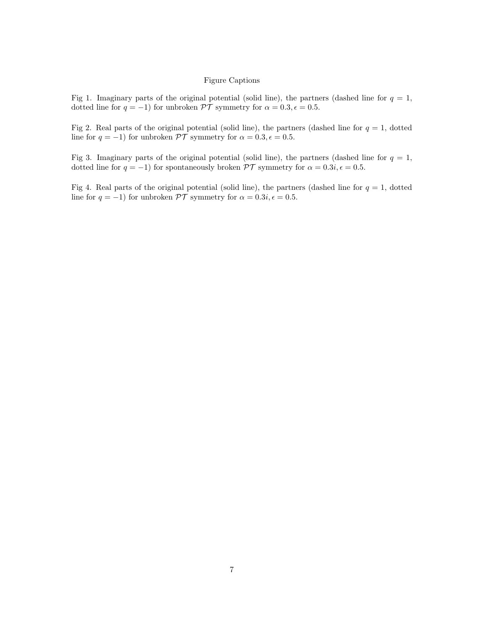### Figure Captions

Fig 1. Imaginary parts of the original potential (solid line), the partners (dashed line for  $q = 1$ , dotted line for  $q = -1$ ) for unbroken  $\mathcal{PT}$  symmetry for  $\alpha = 0.3, \epsilon = 0.5$ .

Fig 2. Real parts of the original potential (solid line), the partners (dashed line for  $q = 1$ , dotted line for  $q = -1$ ) for unbroken  $\mathcal{PT}$  symmetry for  $\alpha = 0.3, \epsilon = 0.5$ .

Fig 3. Imaginary parts of the original potential (solid line), the partners (dashed line for  $q = 1$ , dotted line for  $q = -1$ ) for spontaneously broken  $\mathcal{PT}$  symmetry for  $\alpha = 0.3i, \epsilon = 0.5$ .

Fig 4. Real parts of the original potential (solid line), the partners (dashed line for  $q = 1$ , dotted line for  $q = -1$ ) for unbroken  $\mathcal{PT}$  symmetry for  $\alpha = 0.3i, \epsilon = 0.5$ .